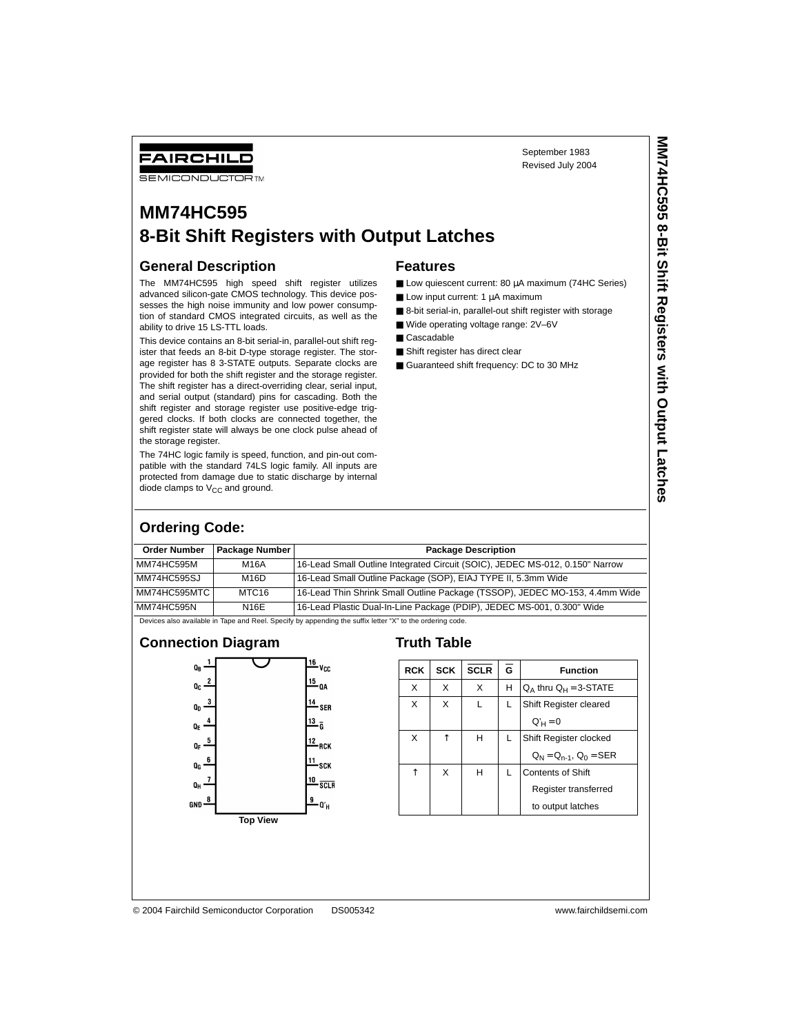September 1983 Revised July 2004

# **SEMICONDUCTOR TM MM74HC595**

# **8-Bit Shift Registers with Output Latches**

#### **General Description**

FAIRCHILD

The MM74HC595 high speed shift register utilizes advanced silicon-gate CMOS technology. This device possesses the high noise immunity and low power consumption of standard CMOS integrated circuits, as well as the ability to drive 15 LS-TTL loads.

This device contains an 8-bit serial-in, parallel-out shift register that feeds an 8-bit D-type storage register. The storage register has 8 3-STATE outputs. Separate clocks are provided for both the shift register and the storage register. The shift register has a direct-overriding clear, serial input, and serial output (standard) pins for cascading. Both the shift register and storage register use positive-edge triggered clocks. If both clocks are connected together, the shift register state will always be one clock pulse ahead of the storage register.

The 74HC logic family is speed, function, and pin-out compatible with the standard 74LS logic family. All inputs are protected from damage due to static discharge by internal diode clamps to  $V_{CC}$  and ground.

#### **Features**

- Low quiescent current: 80 µA maximum (74HC Series)
- $\blacksquare$  Low input current: 1  $\mu$ A maximum
- 8-bit serial-in, parallel-out shift register with storage
- Wide operating voltage range: 2V-6V
- Cascadable
- Shift register has direct clear
- Guaranteed shift frequency: DC to 30 MHz

## **Ordering Code:**

| <b>Order Number</b> | Package Number | <b>Package Description</b>                                                                                |
|---------------------|----------------|-----------------------------------------------------------------------------------------------------------|
| MM74HC595M          | M16A           | 16-Lead Small Outline Integrated Circuit (SOIC), JEDEC MS-012, 0.150" Narrow                              |
| MM74HC595SJ         | M16D           | 16-Lead Small Outline Package (SOP), EIAJ TYPE II, 5.3mm Wide                                             |
| MM74HC595MTC        | MTC16          | 16-Lead Thin Shrink Small Outline Package (TSSOP), JEDEC MO-153, 4.4mm Wide                               |
| MM74HC595N          | <b>N16E</b>    | 16-Lead Plastic Dual-In-Line Package (PDIP), JEDEC MS-001, 0.300" Wide                                    |
|                     |                | Devices also available in Tape and Reel. Specify by appending the suffix letter "X" to the ordering code. |

#### **Connection Diagram**



#### **Truth Table**

| <b>RCK</b> | <b>SCK</b> | <b>SCLR</b> | G | <b>Function</b>               |
|------------|------------|-------------|---|-------------------------------|
| X          | X          | X           | н | $Q_A$ thru $Q_H = 3$ -STATE   |
| X          | X          |             | L | Shift Register cleared        |
|            |            |             |   | $Q'_{H} = 0$                  |
| X          | ↑          | н           | L | Shift Register clocked        |
|            |            |             |   | $Q_N = Q_{n-1}$ , $Q_0 = SER$ |
| ↑          | X          | н           | L | <b>Contents of Shift</b>      |
|            |            |             |   | Register transferred          |
|            |            |             |   | to output latches             |

© 2004 Fairchild Semiconductor Corporation DS005342 www.fairchildsemi.com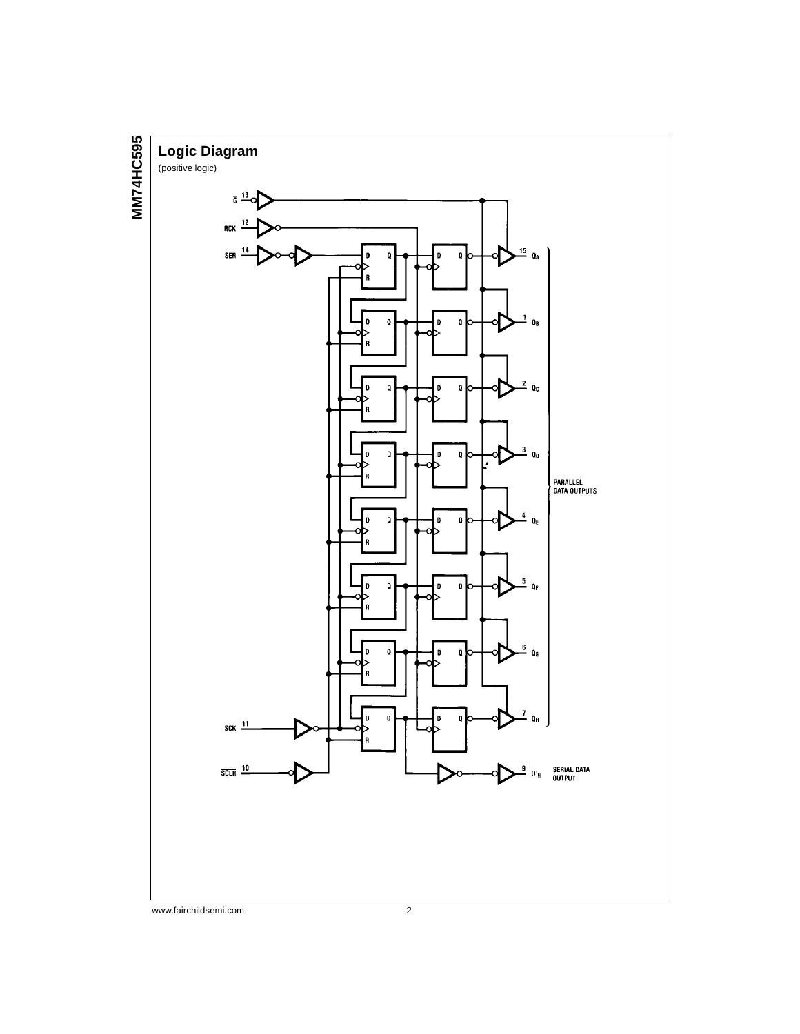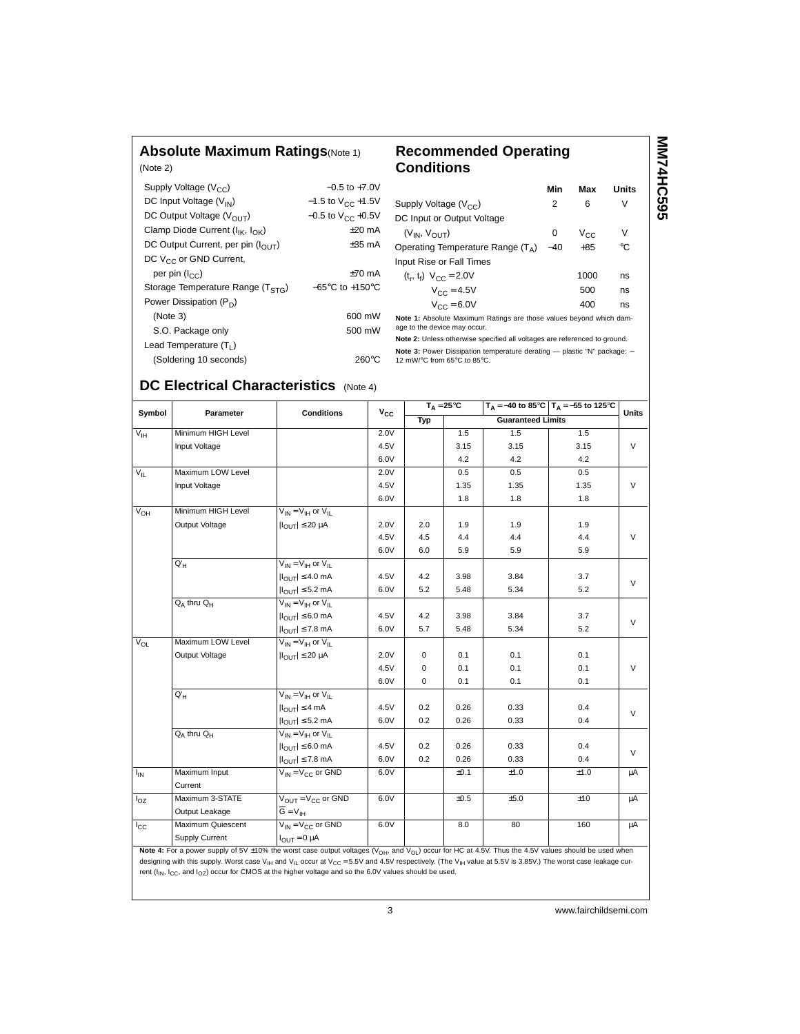### **Absolute Maximum Ratings**(Note 1)

| <b>Recommended Operating</b> |  |
|------------------------------|--|
| Conditions                   |  |

| (Note 2)                                      |                                     |
|-----------------------------------------------|-------------------------------------|
| Supply Voltage $(V_{CC})$                     | $-0.5$ to $+7.0V$                   |
| DC Input Voltage (V <sub>IN</sub> )           | $-1.5$ to $V_{CC}$ +1.5V            |
| DC Output Voltage $(V_{\Omega IIT})$          | $-0.5$ to V <sub>CC</sub> +0.5V     |
| Clamp Diode Current $(I_{1k}, I_{\cap k})$    | $+20$ mA                            |
| DC Output Current, per pin $(I_{\Omega I T})$ | $\pm 35$ mA                         |
| DC V <sub>CC</sub> or GND Current,            |                                     |
| per pin $(I_{CC})$                            | $+70$ mA                            |
| Storage Temperature Range $(TSTG)$            | $-65^{\circ}$ C to $+150^{\circ}$ C |
| Power Dissipation $(P_D)$                     |                                     |
| (Note 3)                                      | 600 mW                              |
| S.O. Package only                             | 500 mW                              |
| Lead Temperature $(T_1)$                      |                                     |
| (Soldering 10 seconds)                        | 260°C                               |

|                                                                     | Min   | Max      | Units |
|---------------------------------------------------------------------|-------|----------|-------|
| Supply Voltage $(V_{CC})$                                           | 2     | 6        | v     |
| DC Input or Output Voltage                                          |       |          |       |
| $(V_{IN}, V_{OIII})$                                                | 0     | $V_{CC}$ | v     |
| Operating Temperature Range $(T_A)$                                 | $-40$ | $+85$    | °C    |
| Input Rise or Fall Times                                            |       |          |       |
| $(t_r, t_f)$ $V_{CC} = 2.0V$                                        |       | 1000     | ns    |
| $V_{CC} = 4.5V$                                                     |       | 500      | ns    |
| $V_{CC} = 6.0V$                                                     |       | 400      | ns    |
| Note 1: Absolute Maximum Ratings are those values beyond which dam- |       |          |       |

**MM74HC595**

**MM74HC595** 

**Note 1:** Absolute Maximum Ratings are those values beyond which dam-age to the device may occur. **Note 2:** Unless otherwise specified all voltages are referenced to ground.

**Note 3:** Power Dissipation temperature derating — plastic "N" package: −<br>12 mW/°C from 65°C to 85°C.

# **DC Electrical Characteristics** (Note 4)

| Symbol                     | Parameter          | $T_A = 25^{\circ}C$<br>$T_A = -40$ to 85°C $T_A = -55$ to 125°C<br><b>Conditions</b> | <b>Units</b> |             |      |                          |      |        |
|----------------------------|--------------------|--------------------------------------------------------------------------------------|--------------|-------------|------|--------------------------|------|--------|
|                            |                    |                                                                                      | $v_{\rm cc}$ | Typ         |      | <b>Guaranteed Limits</b> |      |        |
| $\overline{V_{\text{IH}}}$ | Minimum HIGH Level |                                                                                      | 2.0V         |             | 1.5  | 1.5                      | 1.5  |        |
|                            | Input Voltage      |                                                                                      | 4.5V         |             | 3.15 | 3.15                     | 3.15 | $\vee$ |
|                            |                    |                                                                                      | 6.0V         |             | 4.2  | 4.2                      | 4.2  |        |
| $V_{IL}$                   | Maximum LOW Level  |                                                                                      | 2.0V         |             | 0.5  | 0.5                      | 0.5  |        |
|                            | Input Voltage      |                                                                                      | 4.5V         |             | 1.35 | 1.35                     | 1.35 | V      |
|                            |                    |                                                                                      | 6.0V         |             | 1.8  | 1.8                      | 1.8  |        |
| $V_{OH}$                   | Minimum HIGH Level | $V_{IN} = V_{IH}$ or $V_{II}$                                                        |              |             |      |                          |      |        |
|                            | Output Voltage     | $ I_{\text{OUT}}  \leq 20 \mu A$                                                     | 2.0V         | 2.0         | 1.9  | 1.9                      | 1.9  |        |
|                            |                    |                                                                                      | 4.5V         | 4.5         | 4.4  | 4.4                      | 4.4  | $\vee$ |
|                            |                    |                                                                                      | 6.0V         | 6.0         | 5.9  | 5.9                      | 5.9  |        |
|                            | $Q'_{H}$           | $V_{IN} = V_{IH}$ or $V_{II}$                                                        |              |             |      |                          |      |        |
|                            |                    | $ I_{\text{OUT}}  \leq 4.0 \text{ mA}$                                               | 4.5V         | 4.2         | 3.98 | 3.84                     | 3.7  |        |
|                            |                    | $ I_{OUT}  \leq 5.2$ mA                                                              | 6.0V         | 5.2         | 5.48 | 5.34                     | 5.2  | $\vee$ |
|                            | $Q_A$ thru $Q_H$   | $V_{IN} = V_{IH}$ or $V_{IL}$                                                        |              |             |      |                          |      |        |
|                            |                    | $ I_{OUT}  \leq 6.0$ mA                                                              | 4.5V         | 4.2         | 3.98 | 3.84                     | 3.7  |        |
|                            |                    | $ I_{\text{OUT}}  \leq 7.8$ mA                                                       | 6.0V         | 5.7         | 5.48 | 5.34                     | 5.2  | $\vee$ |
| $V_{OL}$                   | Maximum LOW Level  | $V_{IN} = V_{IH}$ or $V_{IL}$                                                        |              |             |      |                          |      |        |
|                            | Output Voltage     | $ I_{\text{OUT}}  \leq 20 \mu A$                                                     | 2.0V         | $\mathbf 0$ | 0.1  | 0.1                      | 0.1  |        |
|                            |                    |                                                                                      | 4.5V         | 0           | 0.1  | 0.1                      | 0.1  | $\vee$ |
|                            |                    |                                                                                      | 6.0V         | $\mathbf 0$ | 0.1  | 0.1                      | 0.1  |        |
|                            | $Q'_{H}$           | $V_{IN} = V_{IH}$ or $V_{II}$                                                        |              |             |      |                          |      |        |
|                            |                    | $ I_{OUT}  \leq 4$ mA                                                                | 4.5V         | 0.2         | 0.26 | 0.33                     | 0.4  | $\vee$ |
|                            |                    | $ I_{OUT}  \leq 5.2$ mA                                                              | 6.0V         | 0.2         | 0.26 | 0.33                     | 0.4  |        |
|                            | $Q_A$ thru $Q_H$   | $V_{IN} = V_{IH}$ or $V_{IL}$                                                        |              |             |      |                          |      |        |
|                            |                    | $ I_{\text{OUT}}  \leq 6.0$ mA                                                       | 4.5V         | 0.2         | 0.26 | 0.33                     | 0.4  |        |
|                            |                    | $ I_{\text{OUT}}  \leq 7.8$ mA                                                       | 6.0V         | 0.2         | 0.26 | 0.33                     | 0.4  | $\vee$ |
| I <sub>IN</sub>            | Maximum Input      | $V_{IN} = V_{CC}$ or GND                                                             | 6.0V         |             | ±0.1 | ±1.0                     | ±1.0 | μA     |
|                            | Current            |                                                                                      |              |             |      |                          |      |        |
| $I_{OZ}$                   | Maximum 3-STATE    | $V_{OIII} = V_{CC}$ or GND                                                           | 6.0V         |             | ±0.5 | ±5.0                     | ±10  | μA     |
|                            | Output Leakage     | $\overline{G} = V_{\text{IH}}$                                                       |              |             |      |                          |      |        |
| $I_{\rm CC}$               | Maximum Quiescent  | $V_{IN} = V_{CC}$ or GND                                                             | 6.0V         |             | 8.0  | 80                       | 160  | μA     |
|                            | Supply Current     | $I_{\text{OUT}} = 0 \mu A$                                                           |              |             |      |                          |      |        |

Note 4: For a power supply of 5V ±10% the worst case output voltages (V<sub>OH</sub>, and V<sub>OL</sub>) occur for HC at 4.5V. Thus the 4.5V values should be used when designing with this supply. Worst case V<sub>IH</sub> and V<sub>IL</sub> occur at V<sub>CC</sub> = 5.5V and 4.5V respectively. (The V<sub>IH</sub> value at 5.5V is 3.85V.) The worst case leakage current ( $I_{IN}$ ,  $I_{CC}$ , and  $I_{OZ}$ ) occur for CMOS at the higher voltage and so the 6.0V values should be used.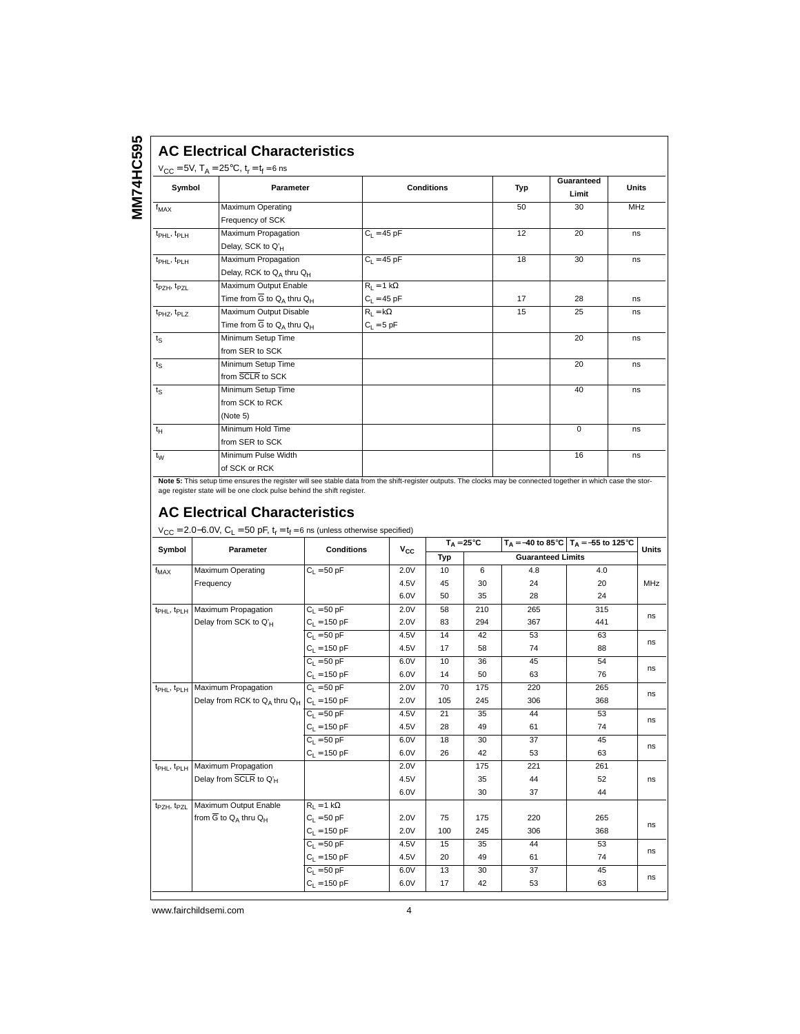#### **AC Electrical Characteristics**

## $V_{CC} = 5V$ ,  $T_A = 25^{\circ}C$ ,  $t_r = t_f = 6$  ns

| Symbol                              | Parameter                                    | <b>Conditions</b> | Typ | Guaranteed<br>Limit | <b>Units</b> |
|-------------------------------------|----------------------------------------------|-------------------|-----|---------------------|--------------|
| $f_{MAX}$                           | Maximum Operating                            |                   | 50  | 30                  | <b>MHz</b>   |
|                                     | Frequency of SCK                             |                   |     |                     |              |
| t <sub>PHL</sub> , t <sub>PLH</sub> | Maximum Propagation                          | $C_1 = 45 pF$     | 12  | 20                  | ns           |
|                                     | Delay, SCK to Q'H                            |                   |     |                     |              |
| t <sub>PHL</sub> , t <sub>PLH</sub> | Maximum Propagation                          | $C_1 = 45 pF$     | 18  | 30                  | ns           |
|                                     | Delay, RCK to QA thru QH                     |                   |     |                     |              |
| t <sub>PZH</sub> , t <sub>PZL</sub> | Maximum Output Enable                        | $R_L = 1 k\Omega$ |     |                     |              |
|                                     | Time from $\overline{G}$ to $Q_A$ thru $Q_H$ | $C_L = 45$ pF     | 17  | 28                  | ns           |
| t <sub>PHZ</sub> , t <sub>PLZ</sub> | Maximum Output Disable                       | $R_1 = k\Omega$   | 15  | 25                  | ns           |
|                                     | Time from $\overline{G}$ to $Q_A$ thru $Q_H$ | $C_L = 5 pF$      |     |                     |              |
| $t_{\rm S}$                         | Minimum Setup Time                           |                   |     | 20                  | ns           |
|                                     | from SER to SCK                              |                   |     |                     |              |
| $t_{\rm S}$                         | Minimum Setup Time                           |                   |     | 20                  | ns           |
|                                     | from SCLR to SCK                             |                   |     |                     |              |
| $t_{\rm S}$                         | Minimum Setup Time                           |                   |     | 40                  | ns           |
|                                     | from SCK to RCK                              |                   |     |                     |              |
|                                     | (Note 5)                                     |                   |     |                     |              |
| $t_H$                               | Minimum Hold Time                            |                   |     | $\Omega$            | ns           |
|                                     | from SER to SCK                              |                   |     |                     |              |
| $t_W$                               | Minimum Pulse Width                          |                   |     | 16                  | ns           |
|                                     | of SCK or RCK                                |                   |     |                     |              |

**Note 5:** This setup time ensures the register will see stable data from the shift-register outputs. The clocks may be connected together in which case the stor-<br>age register state will be one clock pulse behind the shift

# **AC Electrical Characteristics**

| Symbol                              | Parameter                                         | <b>Conditions</b> |              |     | $T_{\text{A}} = 25^{\circ}\text{C}$ |                          | $T_A = -40$ to 85°C $T_A = -55$ to 125°C | <b>Units</b> |
|-------------------------------------|---------------------------------------------------|-------------------|--------------|-----|-------------------------------------|--------------------------|------------------------------------------|--------------|
|                                     |                                                   |                   | $v_{\rm cc}$ | Typ |                                     | <b>Guaranteed Limits</b> |                                          |              |
| $f_{MAX}$                           | Maximum Operating                                 | $C_1 = 50$ pF     | 2.0V         | 10  | 6                                   | 4.8                      | 4.0                                      |              |
|                                     | Frequency                                         |                   | 4.5V         | 45  | 30                                  | 24                       | 20                                       | <b>MHz</b>   |
|                                     |                                                   |                   | 6.0V         | 50  | 35                                  | 28                       | 24                                       |              |
| t <sub>PHL</sub> , t <sub>PLH</sub> | Maximum Propagation                               | $C_1 = 50$ pF     | 2.0V         | 58  | 210                                 | 265                      | 315                                      | ns           |
|                                     | Delay from SCK to $Q'_H$                          | $C_{L}$ = 150 pF  | 2.0V         | 83  | 294                                 | 367                      | 441                                      |              |
|                                     |                                                   | $C_1 = 50 pF$     | 4.5V         | 14  | 42                                  | 53                       | 63                                       |              |
|                                     |                                                   | $C_1 = 150$ pF    | 4.5V         | 17  | 58                                  | 74                       | 88                                       | ns           |
|                                     |                                                   | $C_1 = 50 pF$     | 6.0V         | 10  | 36                                  | 45                       | 54                                       |              |
|                                     |                                                   | $C_1 = 150$ pF    | 6.0V         | 14  | 50                                  | 63                       | 76                                       | ns           |
| $t_{\rm PHL}$ , $t_{\rm PLH}$       | Maximum Propagation                               | $C_1 = 50 pF$     | 2.0V         | 70  | 175                                 | 220                      | 265                                      |              |
|                                     | Delay from RCK to $Q_A$ thru $Q_H$ $C_1 = 150$ pF |                   | 2.0V         | 105 | 245                                 | 306                      | 368                                      | ns           |
|                                     |                                                   | $C_1 = 50 pF$     | 4.5V         | 21  | 35                                  | 44                       | 53                                       |              |
|                                     |                                                   | $C_1 = 150$ pF    | 4.5V         | 28  | 49                                  | 61                       | 74                                       | ns           |
|                                     |                                                   | $C_1 = 50$ pF     | 6.0V         | 18  | 30                                  | 37                       | 45                                       | ns           |
|                                     |                                                   | $C_1 = 150$ pF    | 6.0V         | 26  | 42                                  | 53                       | 63                                       |              |
| t <sub>PHL</sub> , t <sub>PLH</sub> | Maximum Propagation                               |                   | 2.0V         |     | 175                                 | 221                      | 261                                      |              |
|                                     | Delay from SCLR to Q'H                            |                   | 4.5V         |     | 35                                  | 44                       | 52                                       | ns           |
|                                     |                                                   |                   | 6.0V         |     | 30                                  | 37                       | 44                                       |              |
| t <sub>PZH</sub> , t <sub>PZL</sub> | Maximum Output Enable                             | $R_1 = 1 k\Omega$ |              |     |                                     |                          |                                          |              |
|                                     | from $\overline{G}$ to $Q_A$ thru $Q_H$           | $C_1 = 50$ pF     | 2.0V         | 75  | 175                                 | 220                      | 265                                      |              |
|                                     |                                                   | $C_1 = 150$ pF    | 2.0V         | 100 | 245                                 | 306                      | 368                                      | ns           |
|                                     |                                                   | $C_1 = 50 pF$     | 4.5V         | 15  | 35                                  | 44                       | 53                                       | ns           |
|                                     |                                                   | $C_L = 150 pF$    | 4.5V         | 20  | 49                                  | 61                       | 74                                       |              |
|                                     |                                                   | $C_1 = 50 pF$     | 6.0V         | 13  | 30                                  | 37                       | 45                                       |              |
|                                     |                                                   | $C_1 = 150$ pF    | 6.0V         | 17  | 42                                  | 53                       | 63                                       | ns           |

 $\bigcup_{\text{V}_{\text{CO}} = 2.0-6.0}$  OV,  $C_1 = 50$  pF, tr = t<sub>f</sub> = 6 ns (unless otherwise specified)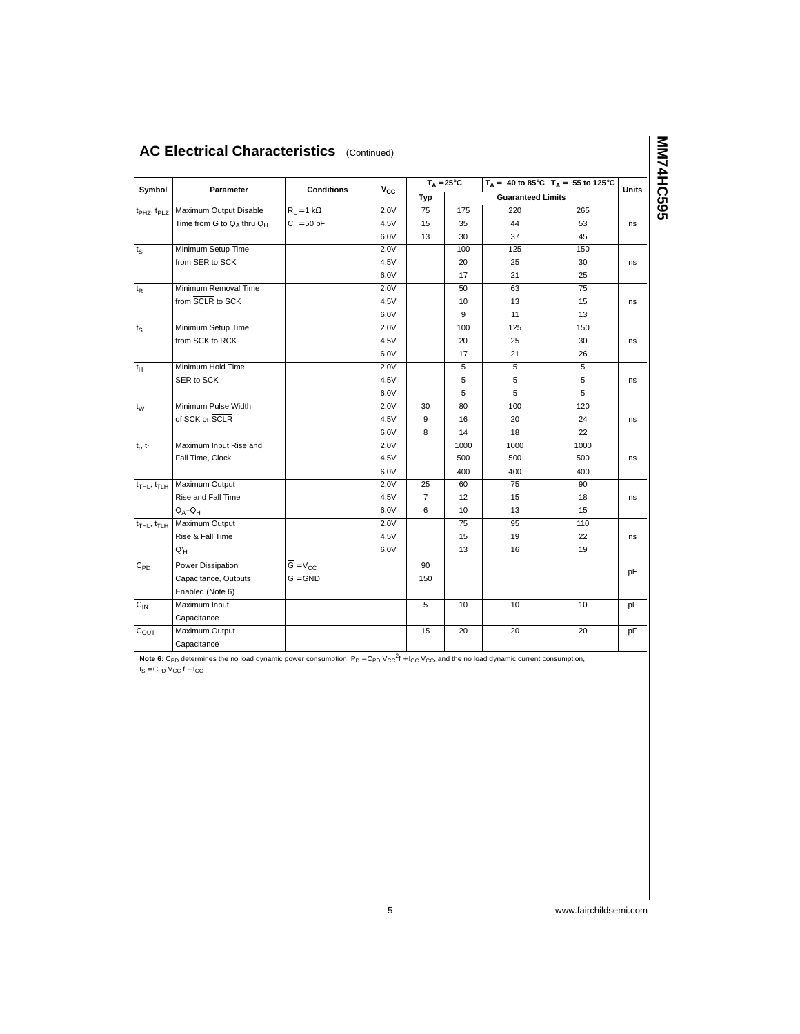|                       |                                                    |                      |          |                | $T_A = 25^{\circ}C$ |                          | $T_A = -40$ to 85°C $T_A = -55$ to 125°C |       |
|-----------------------|----------------------------------------------------|----------------------|----------|----------------|---------------------|--------------------------|------------------------------------------|-------|
| Symbol                | Parameter                                          | <b>Conditions</b>    | $V_{CC}$ | Typ            |                     | <b>Guaranteed Limits</b> |                                          | Units |
| $t_{PHZ}$ , $t_{PLZ}$ | Maximum Output Disable                             | $R_L = 1 k\Omega$    | 2.0V     | 75             | 175                 | 220                      | 265                                      |       |
|                       | Time from $\overline{G}$ to $Q_A$ thru $Q_H$       | $C_L = 50$ pF        | 4.5V     | 15             | 35                  | 44                       | 53                                       | ns    |
|                       |                                                    |                      | 6.0V     | 13             | 30                  | 37                       | 45                                       |       |
| $t_{\rm S}$           | Minimum Setup Time                                 |                      | 2.0V     |                | 100                 | 125                      | 150                                      |       |
|                       | from SER to SCK                                    |                      | 4.5V     |                | 20                  | 25                       | 30                                       | ns    |
|                       |                                                    |                      | 6.0V     |                | 17                  | 21                       | 25                                       |       |
| $t_{\mathsf{R}}$      | Minimum Removal Time                               |                      | 2.0V     |                | 50                  | 63                       | 75                                       |       |
|                       | from SCLR to SCK                                   |                      | 4.5V     |                | 10                  | 13                       | 15                                       | ns    |
|                       |                                                    |                      | 6.0V     |                | 9                   | 11                       | 13                                       |       |
| $t_{\rm S}$           | Minimum Setup Time                                 |                      | 2.0V     |                | 100                 | 125                      | 150                                      |       |
|                       | from SCK to RCK                                    |                      | 4.5V     |                | 20                  | 25                       | 30                                       | ns    |
|                       |                                                    |                      | 6.0V     |                | 17                  | 21                       | 26                                       |       |
| $t_H$                 | Minimum Hold Time                                  |                      | 2.0V     |                | 5                   | 5                        | 5                                        |       |
|                       | SER to SCK                                         |                      | 4.5V     |                | 5                   | 5                        | 5                                        | ns    |
|                       |                                                    |                      | 6.0V     |                | 5                   | 5                        | 5                                        |       |
| $t_{\rm W}$           | Minimum Pulse Width                                |                      | 2.0V     | 30             | 80                  | 100                      | 120                                      |       |
|                       | of SCK or SCLR                                     |                      | 4.5V     | 9              | 16                  | 20                       | 24                                       | ns    |
|                       |                                                    |                      | 6.0V     | 8              | 14                  | 18                       | 22                                       |       |
| $t_r$ , $t_f$         | Maximum Input Rise and                             |                      | 2.0V     |                | 1000                | 1000                     | 1000                                     |       |
|                       | Fall Time, Clock                                   |                      | 4.5V     |                | 500                 | 500                      | 500                                      | ns    |
|                       |                                                    |                      | 6.0V     |                | 400                 | 400                      | 400                                      |       |
|                       | t <sub>THL</sub> , t <sub>TLH</sub> Maximum Output |                      | 2.0V     | 25             | 60                  | 75                       | 90                                       |       |
|                       | Rise and Fall Time                                 |                      | 4.5V     | $\overline{7}$ | 12                  | 15                       | 18                                       | ns    |
|                       | $Q_A - Q_H$                                        |                      | 6.0V     | 6              | 10                  | 13                       | 15                                       |       |
| $t_{THL}$ , $t_{TLH}$ | Maximum Output                                     |                      | 2.0V     |                | 75                  | 95                       | 110                                      |       |
|                       | Rise & Fall Time                                   |                      | 4.5V     |                | 15                  | 19                       | 22                                       | ns    |
|                       | $Q'_{H}$                                           |                      | 6.0V     |                | 13                  | 16                       | 19                                       |       |
| $C_{PD}$              | Power Dissipation                                  | $G = V_{CC}$         |          | 90             |                     |                          |                                          |       |
|                       | Capacitance, Outputs                               | $\overline{G}$ = GND |          | 150            |                     |                          |                                          | pF    |
|                       | Enabled (Note 6)                                   |                      |          |                |                     |                          |                                          |       |
| $C_{IN}$              | Maximum Input                                      |                      |          | $\overline{5}$ | 10                  | 10                       | 10                                       | pF    |
|                       | Capacitance                                        |                      |          |                |                     |                          |                                          |       |
| $C_{OUT}$             | Maximum Output                                     |                      |          | 15             | 20                  | 20                       | 20                                       | pF    |
|                       | Capacitance                                        |                      |          |                |                     |                          |                                          |       |

**Note 6:**  $C_{PD}$  determines the no load dynamic power consumption,  $P_D = C_{PD}$   $V_{CC}^2f + I_{CC}$   $V_{CC}$ , and the no load dynamic current consumption,  $I_S = C_{PD} V_{CC} f + I_{CC}$ .

5 www.fairchildsemi.com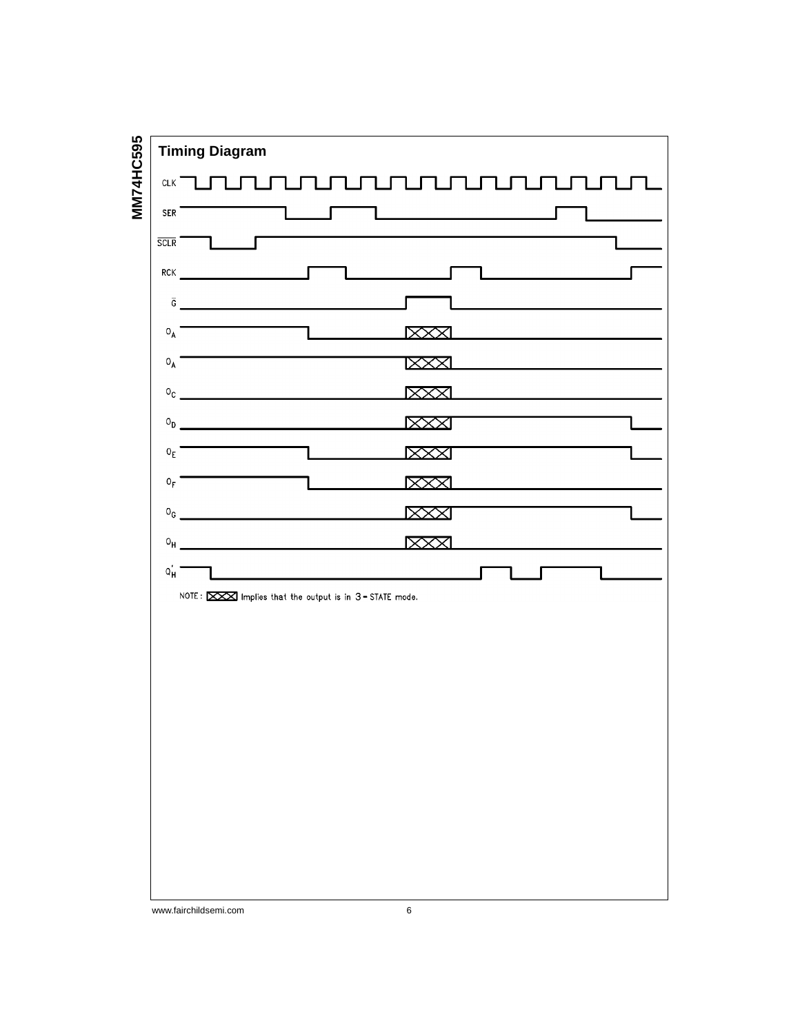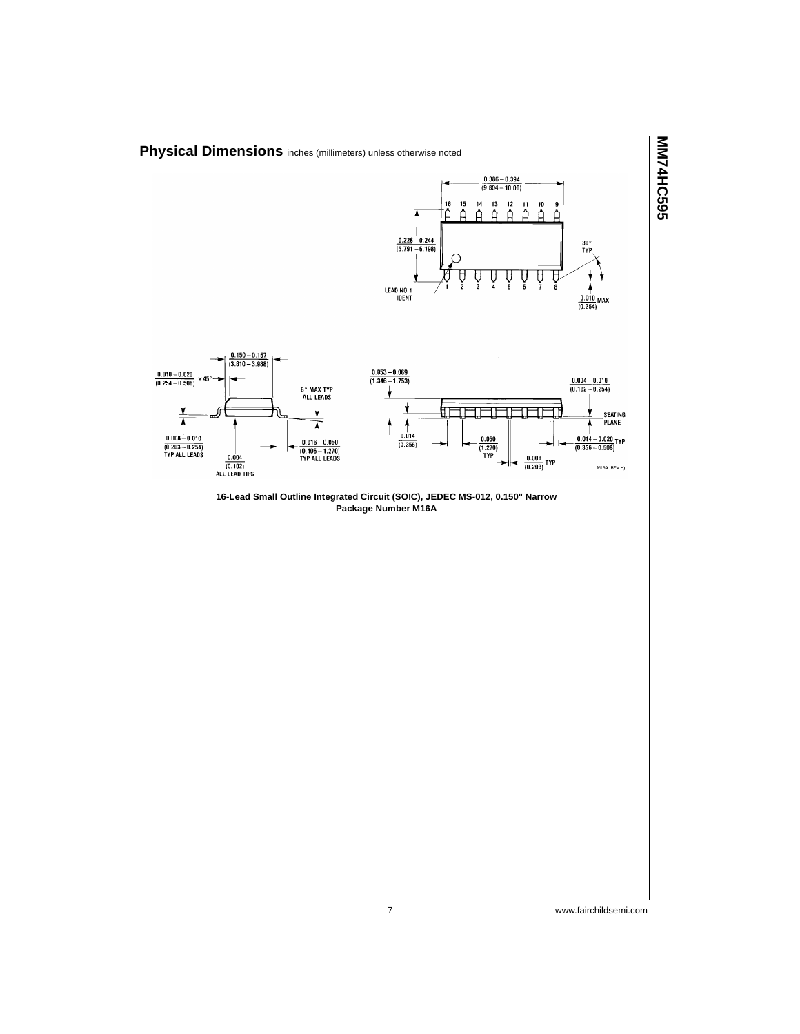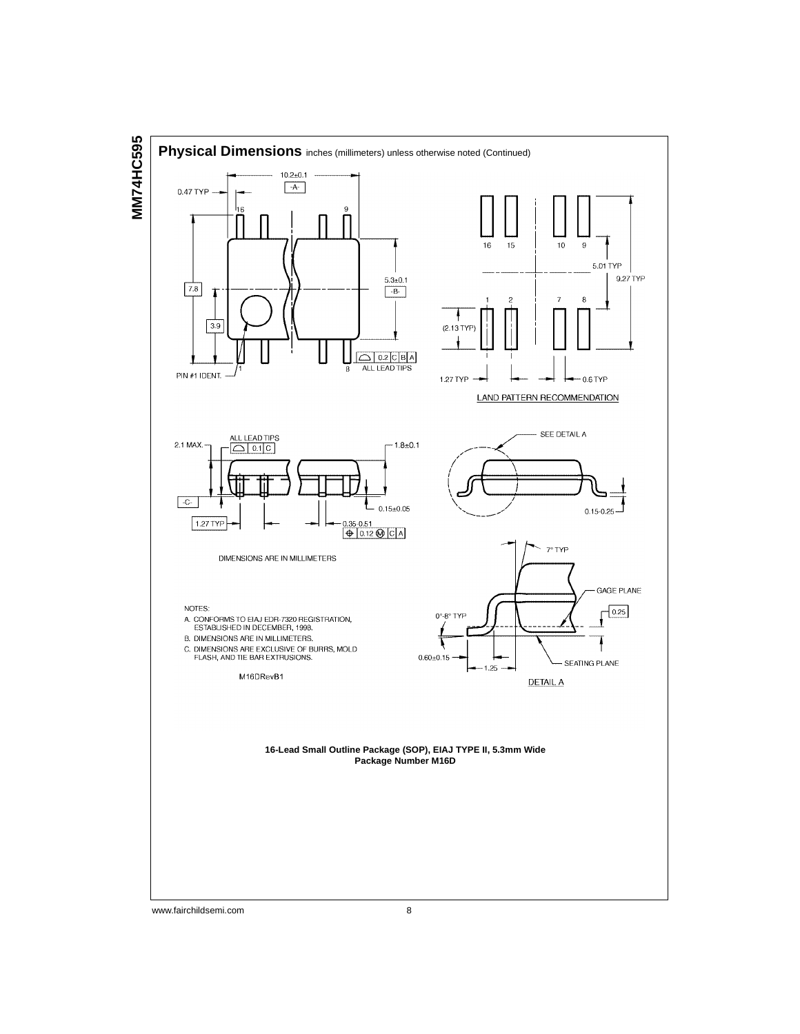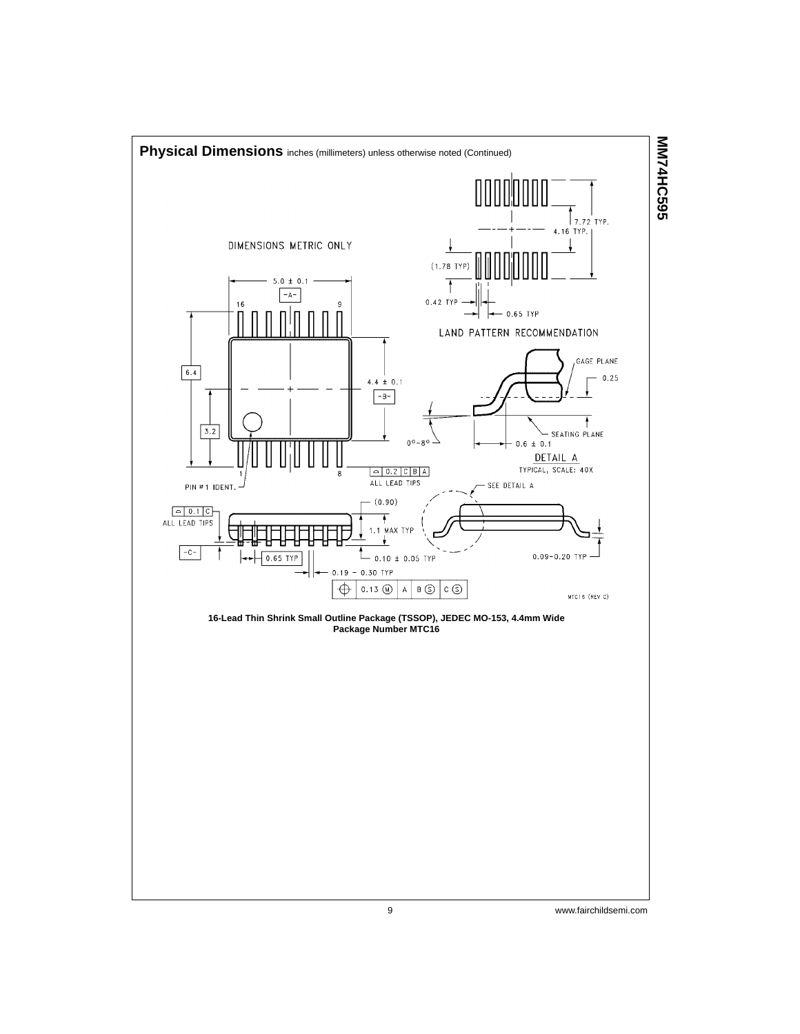